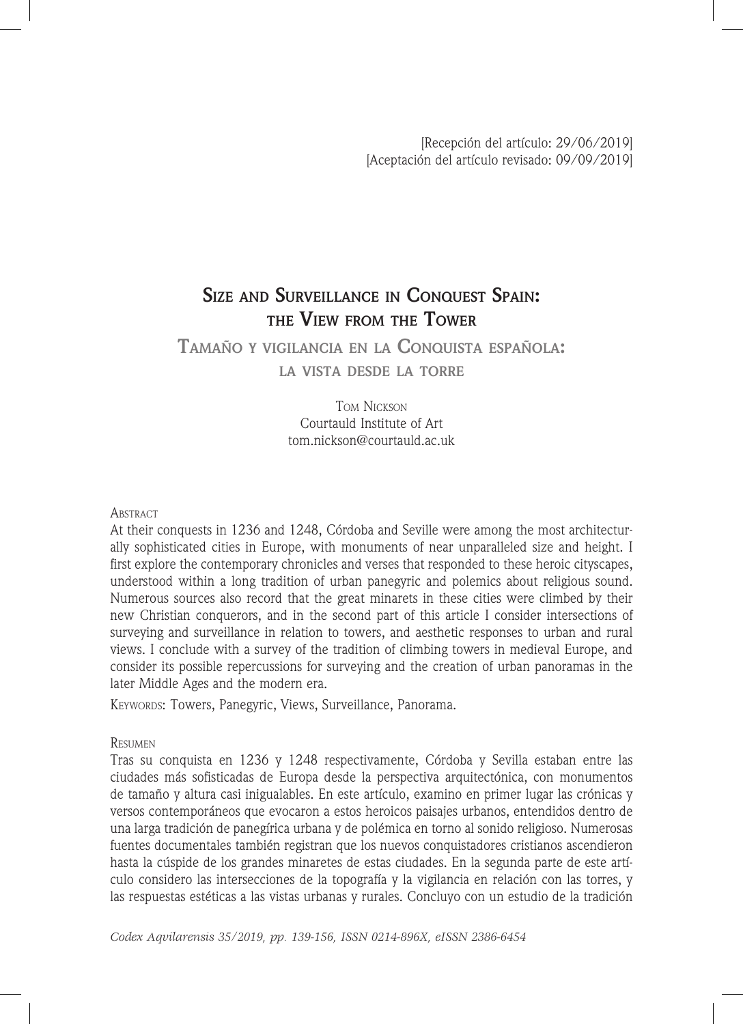# **Size and Surveillance in Conquest Spain: the View from the Tower**

# **Tamaño <sup>y</sup> vigilancia en la Conquista española:**

**la vista desde la torre**

TOM NICKSON Courtauld Institute of Art tom.nickson@courtauld.ac.uk

## **ABSTRACT**

At their conquests in 1236 and 1248, Córdoba and Seville were among the most architecturally sophisticated cities in Europe, with monuments of near unparalleled size and height. I first explore the contemporary chronicles and verses that responded to these heroic cityscapes, understood within a long tradition of urban panegyric and polemics about religious sound. Numerous sources also record that the great minarets in these cities were climbed by their new Christian conquerors, and in the second part of this article I consider intersections of surveying and surveillance in relation to towers, and aesthetic responses to urban and rural views. I conclude with a survey of the tradition of climbing towers in medieval Europe, and consider its possible repercussions for surveying and the creation of urban panoramas in the later Middle Ages and the modern era.

KEYWORDS: Towers, Panegyric, Views, Surveillance, Panorama.

## **RESUMEN**

Tras su conquista en 1236 y 1248 respectivamente, Córdoba y Sevilla estaban entre las ciudades más sofisticadas de Europa desde la perspectiva arquitectónica, con monumentos de tamaño y altura casi inigualables. En este artículo, examino en primer lugar las crónicas y versos contemporáneos que evocaron a estos heroicos paisajes urbanos, entendidos dentro de una larga tradición de panegírica urbana y de polémica en torno al sonido religioso. Numerosas fuentes documentales también registran que los nuevos conquistadores cristianos ascendieron hasta la cúspide de los grandes minaretes de estas ciudades. En la segunda parte de este artículo considero las intersecciones de la topografía y la vigilancia en relación con las torres, y las respuestas estéticas a las vistas urbanas y rurales. Concluyo con un estudio de la tradición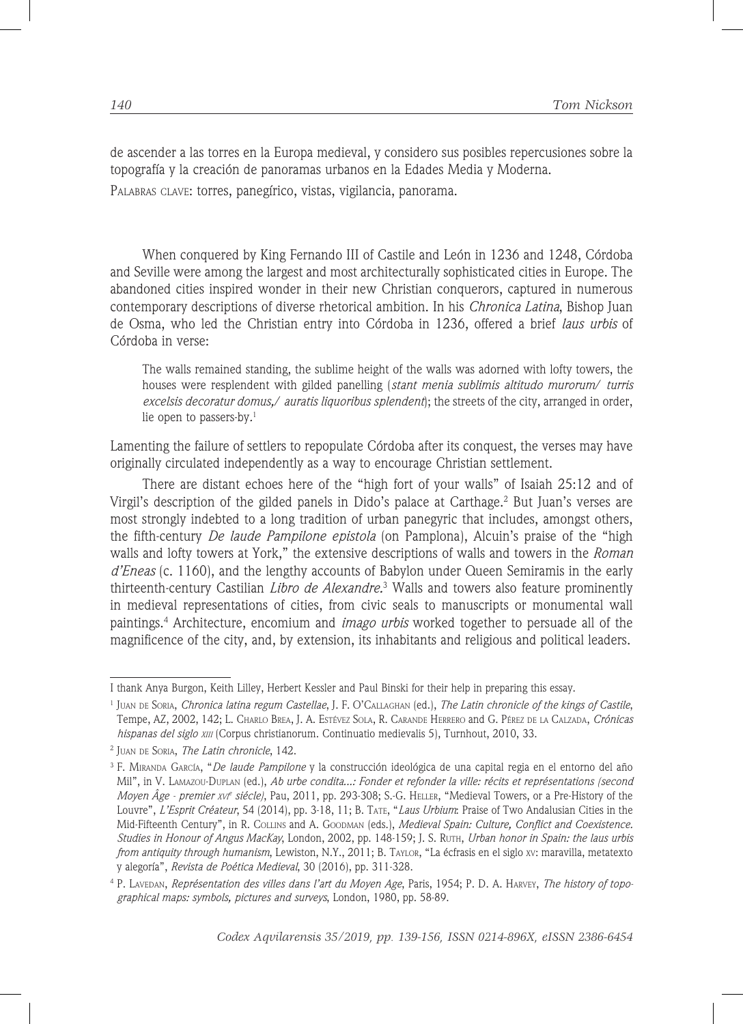de ascender a las torres en la Europa medieval, y considero sus posibles repercusiones sobre la topografía y la creación de panoramas urbanos en la Edades Media y Moderna.

Palabras clave: torres, panegírico, vistas, vigilancia, panorama.

When conquered by King Fernando III of Castile and León in 1236 and 1248, Córdoba and Seville were among the largest and most architecturally sophisticated cities in Europe. The abandoned cities inspired wonder in their new Christian conquerors, captured in numerous contemporary descriptions of diverse rhetorical ambition. In his *Chronica Latina*, Bishop Juan de Osma, who led the Christian entry into Córdoba in 1236, offered a brief *laus urbis* of Córdoba in verse:

The walls remained standing, the sublime height of the walls was adorned with lofty towers, the houses were resplendent with gilded panelling (*stant menia sublimis altitudo murorum*/ *turris excelsis decoratur domus,*/ *auratis liquoribus splendent*); the streets of the city, arranged in order, lie open to passers-by*.* 1

Lamenting the failure of settlers to repopulate Córdoba after its conquest, the verses may have originally circulated independently as a way to encourage Christian settlement.

There are distant echoes here of the "high fort of your walls" of Isaiah 25:12 and of Virgil's description of the gilded panels in Dido's palace at Carthage.2 But Juan's verses are most strongly indebted to a long tradition of urban panegyric that includes, amongst others, the fifth-century *De laude Pampilone epistola* (on Pamplona), Alcuin's praise of the "high walls and lofty towers at York," the extensive descriptions of walls and towers in the *Roman d'Eneas* (c. 1160), and the lengthy accounts of Babylon under Queen Semiramis in the early thirteenth-century Castilian *Libro de Alexandre.*<sup>3</sup> Walls and towers also feature prominently in medieval representations of cities, from civic seals to manuscripts or monumental wall paintings.4 Architecture, encomium and *imago urbis* worked together to persuade all of the magnificence of the city, and, by extension, its inhabitants and religious and political leaders.

I thank Anya Burgon, Keith Lilley, Herbert Kessler and Paul Binski for their help in preparing this essay.

<sup>1</sup> Juan de Soria, *Chronica latina regum Castellae*, J. F. O'Callaghan (ed.), *The Latin chronicle of the kings of Castile*, Tempe, AZ, 2002, 142; L. Charlo Brea, J. A. Estévez Sola, R. Carande Herrero and G. Pérez de la Calzada, *Crónicas hispanas del siglo xiii* (Corpus christianorum. Continuatio medievalis 5), Turnhout, 2010, 33.

<sup>2</sup> Juan de Soria, *The Latin chronicle*, 142.

<sup>3</sup> F. Miranda García, "*De laude Pampilone* y la construcción ideológica de una capital regia en el entorno del año Mil", in V. Lamazou-Duplan (ed.), *Ab urbe condita...: Fonder et refonder la ville: récits et représentations (second Moyen Âge - premier xvf siécle)*, Pau, 2011, pp. 293-308; S.-G. HELLER, "Medieval Towers, or a Pre-History of the Louvre", *L'Esprit Créateur*, 54 (2014), pp. 3-18, 11; B. Tate, "*Laus Urbium*: Praise of Two Andalusian Cities in the Mid-Fifteenth Century", in R. Collins and A. Goodman (eds.), *Medieval Spain: Culture, Conflict and Coexistence. Studies in Honour of Angus MacKay*, London, 2002, pp. 148-159; J. S. Ruth, *Urban honor in Spain: the laus urbis from antiquity through humanism*, Lewiston, N.Y., 2011; B. Taylor, "La écfrasis en el siglo xv: maravilla, metatexto y alegoría", *Revista de Poética Medieval*, 30 (2016), pp. 311-328.

<sup>4</sup> P. Lavedan, *Représentation des villes dans l'art du Moyen Age*, Paris, 1954; P. D. A. Harvey, *The history of topographical maps: symbols, pictures and surveys*, London, 1980, pp. 58-89.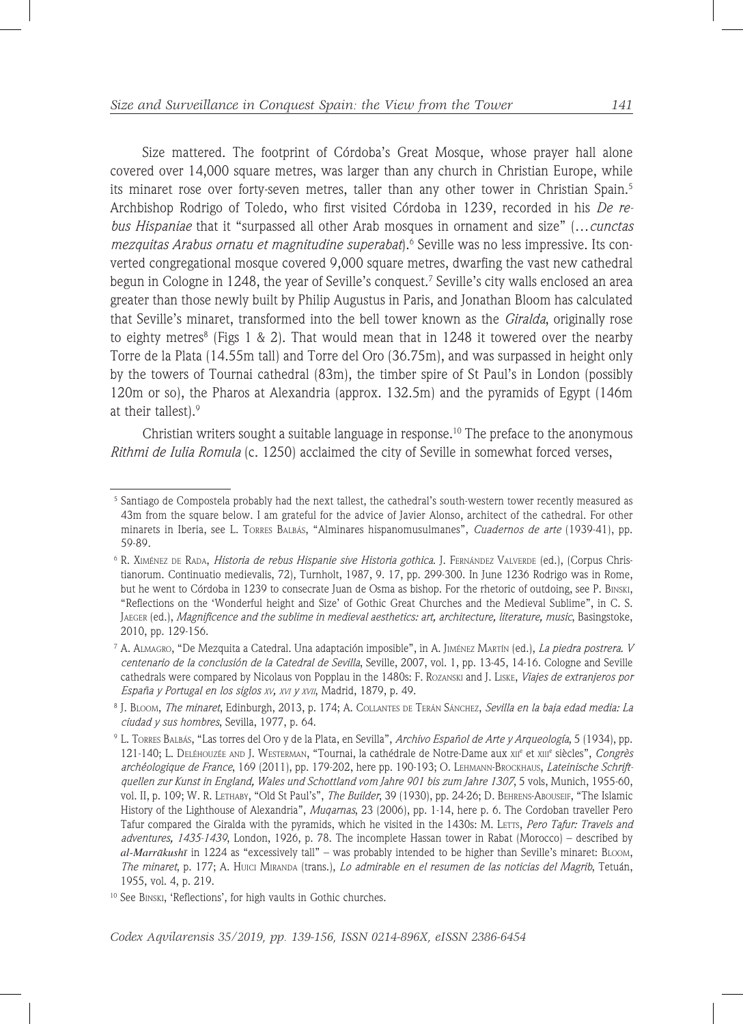Size mattered. The footprint of Córdoba's Great Mosque, whose prayer hall alone covered over 14,000 square metres, was larger than any church in Christian Europe, while its minaret rose over forty-seven metres, taller than any other tower in Christian Spain.<sup>5</sup> Archbishop Rodrigo of Toledo, who first visited Córdoba in 1239, recorded in his *De rebus Hispaniae* that it "surpassed all other Arab mosques in ornament and size" (…*cunctas mezquitas Arabus ornatu et magnitudine superabat*).6 Seville was no less impressive. Its converted congregational mosque covered 9,000 square metres, dwarfing the vast new cathedral begun in Cologne in 1248, the year of Seville's conquest.7 Seville's city walls enclosed an area greater than those newly built by Philip Augustus in Paris, and Jonathan Bloom has calculated that Seville's minaret, transformed into the bell tower known as the *Giralda*, originally rose to eighty metres $^8$  (Figs 1 & 2). That would mean that in 1248 it towered over the nearby Torre de la Plata (14.55m tall) and Torre del Oro (36.75m), and was surpassed in height only by the towers of Tournai cathedral (83m), the timber spire of St Paul's in London (possibly 120m or so), the Pharos at Alexandria (approx. 132.5m) and the pyramids of Egypt (146m at their tallest).<sup>9</sup>

Christian writers sought a suitable language in response.10 The preface to the anonymous *Rithmi de Iulia Romula* (c. 1250) acclaimed the city of Seville in somewhat forced verses,

<sup>5</sup> Santiago de Compostela probably had the next tallest, the cathedral's south-western tower recently measured as 43m from the square below. I am grateful for the advice of Javier Alonso, architect of the cathedral. For other minarets in Iberia, see L. Torres Balbás, "Alminares hispanomusulmanes", *Cuadernos de arte* (1939-41), pp. 59-89.

<sup>&</sup>lt;sup>6</sup> R. XIMÉNEZ DE RADA, *Historia de rebus Hispanie sive Historia gothica*. J. FERNÁNDEZ VALVERDE (ed.), (Corpus Christianorum. Continuatio medievalis, 72), Turnholt, 1987, 9. 17, pp. 299-300. In June 1236 Rodrigo was in Rome, but he went to Córdoba in 1239 to consecrate Juan de Osma as bishop. For the rhetoric of outdoing, see P. Binski, "Reflections on the 'Wonderful height and Size' of Gothic Great Churches and the Medieval Sublime", in C. S. Jaeger (ed.), *Magnificence and the sublime in medieval aesthetics: art, architecture, literature, music*, Basingstoke, 2010, pp. 129-156.

<sup>7</sup> A. Almagro, "De Mezquita a Catedral. Una adaptación imposible", in A. Jiménez Martín (ed.), *La piedra postrera. V centenario de la conclusión de la Catedral de Sevilla*, Seville, 2007, vol. 1, pp. 13-45, 14-16. Cologne and Seville cathedrals were compared by Nicolaus von Popplau in the 1480s: F. Rozanski and J. Liske, *Viajes de extranjeros por España y Portugal en los siglos xv, xvi y xvii*, Madrid, 1879, p. 49.

<sup>8</sup> J. Bloom, *The minaret*, Edinburgh, 2013, p. 174; A. Collantes de Terán Sánchez, *Sevilla en la baja edad media: La ciudad y sus hombres*, Sevilla, 1977, p. 64.

<sup>9</sup> L. Torres Balbás, "Las torres del Oro y de la Plata, en Sevilla", *Archivo Español de Arte y Arqueología*, 5 (1934), pp. 121-140; L. DELÉHOUZÉE AND J. WESTERMAN, "Tournai, la cathédrale de Notre-Dame aux xi<sup>re</sup> et xin<sup>e</sup> siècles", Congrès *archéologique de France*, 169 (2011), pp. 179-202, here pp. 190-193; O. Lehmann-Brockhaus, *Lateinische Schriftquellen zur Kunst in England, Wales und Schottland vom Jahre 901 bis zum Jahre 1307*, 5 vols, Munich, 1955-60, vol. II, p. 109; W. R. Lethaby, "Old St Paul's", *The Builder*, 39 (1930), pp. 24-26; D. Behrens-Abouseif, "The Islamic History of the Lighthouse of Alexandria", *Muqarnas*, 23 (2006), pp. 1-14, here p. 6. The Cordoban traveller Pero Tafur compared the Giralda with the pyramids, which he visited in the 1430s: M. LETTS, Pero Tafur: Travels and *adventures, 1435-1439*, London, 1926, p. 78. The incomplete Hassan tower in Rabat (Morocco) – described by *al-Marrākushī* in 1224 as "excessively tall" – was probably intended to be higher than Seville's minaret: Bloom, *The minaret*, p. 177; A. Huici Miranda (trans.), *Lo admirable en el resumen de las noticias del Magrib*, Tetuán, 1955, vol. 4, p. 219.

<sup>10</sup> See Binski, 'Reflections', for high vaults in Gothic churches.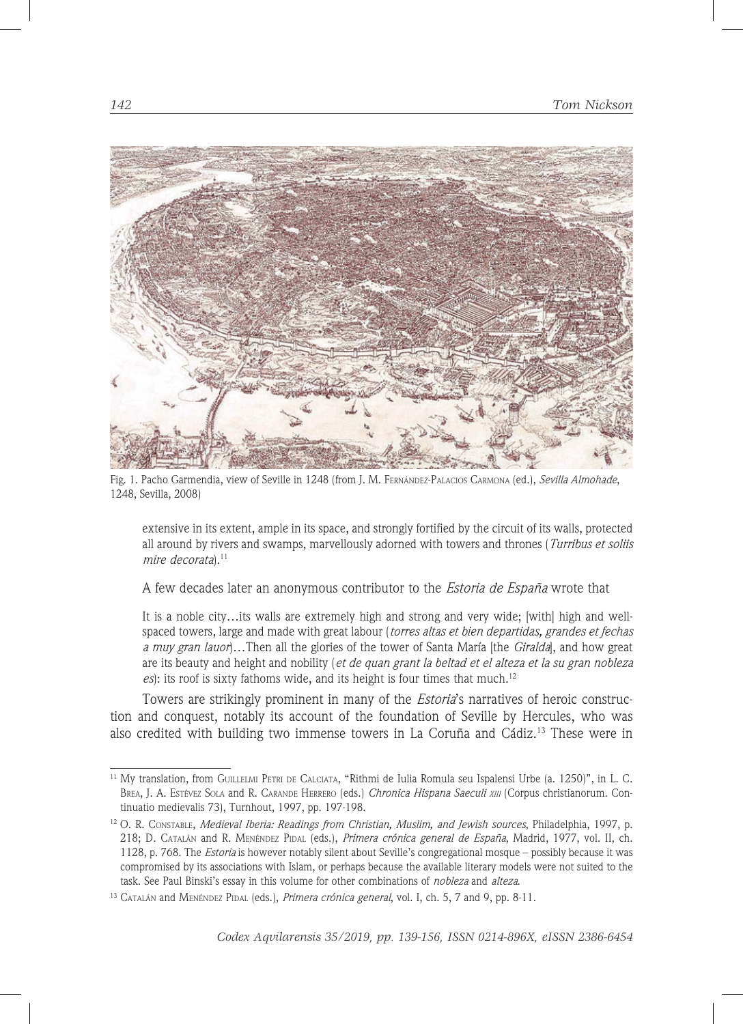

Fig. 1. Pacho Garmendia, view of Seville in 1248 (from J. M. Fernández-Palacios Carmona (ed.), *Sevilla Almohade*, 1248, Sevilla, 2008)

extensive in its extent, ample in its space, and strongly fortified by the circuit of its walls, protected all around by rivers and swamps, marvellously adorned with towers and thrones (*Turribus et soliis mire decorata*).11

A few decades later an anonymous contributor to the *Estoria de España* wrote that

It is a noble city…its walls are extremely high and strong and very wide; [with] high and wellspaced towers, large and made with great labour (*torres altas et bien departidas, grandes et fechas a muy gran lauor*)…Then all the glories of the tower of Santa María [the *Giralda*], and how great are its beauty and height and nobility (*et de quan grant la beltad et el alteza et la su gran nobleza*  es): its roof is sixty fathoms wide, and its height is four times that much.<sup>12</sup>

Towers are strikingly prominent in many of the *Estoria*'s narratives of heroic construction and conquest, notably its account of the foundation of Seville by Hercules, who was also credited with building two immense towers in La Coruña and  $C\acute{a}$ diz.<sup>13</sup> These were in

<sup>&</sup>lt;sup>11</sup> My translation, from GUILLELMI PETRI DE CALCIATA, "Rithmi de Iulia Romula seu Ispalensi Urbe (a. 1250)", in L. C. Brea, J. A. Estévez Sola and R. Carande Herrero (eds.) *Chronica Hispana Saeculi xiii* (Corpus christianorum. Continuatio medievalis 73), Turnhout, 1997, pp. 197-198.

<sup>12</sup> O. R. Constable, *Medieval Iberia: Readings from Christian, Muslim, and Jewish sources*, Philadelphia, 1997, p. 218; D. Catalán and R. Menéndez Pidal (eds.), *Primera crónica general de España*, Madrid, 1977, vol. II, ch. 1128, p. 768. The *Estoria* is however notably silent about Seville's congregational mosque – possibly because it was compromised by its associations with Islam, or perhaps because the available literary models were not suited to the task. See Paul Binski's essay in this volume for other combinations of *nobleza* and *alteza*.

<sup>&</sup>lt;sup>13</sup> CATALÁN and MENÉNDEZ PIDAL (eds.), *Primera crónica general*, vol. I, ch. 5, 7 and 9, pp. 8-11.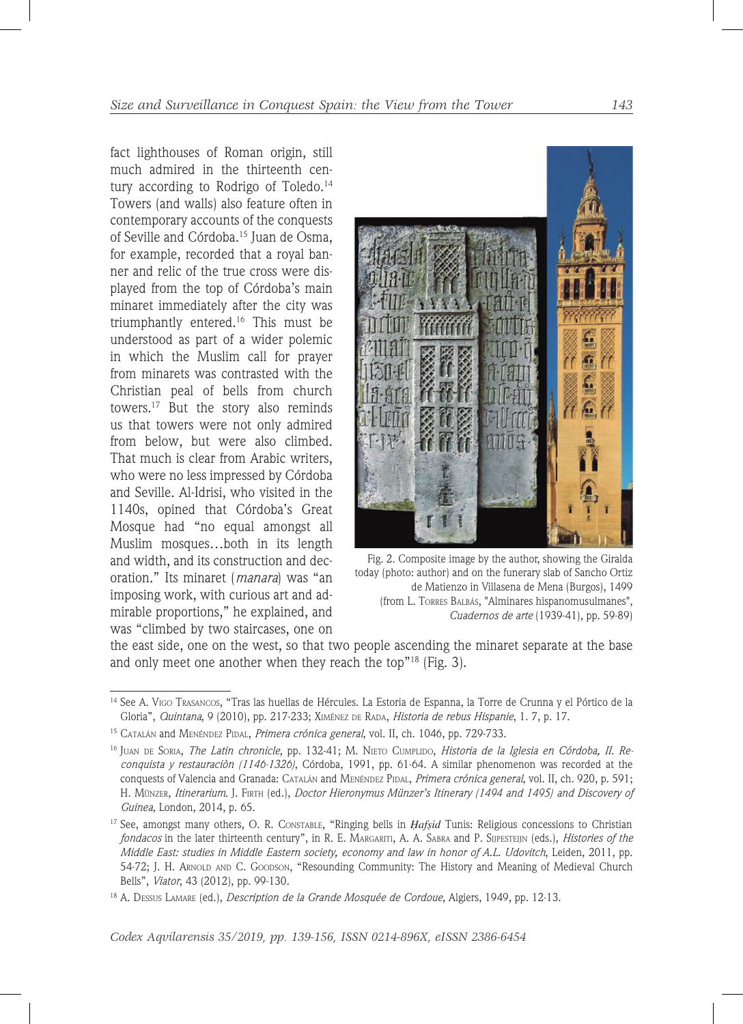fact lighthouses of Roman origin, still much admired in the thirteenth century according to Rodrigo of Toledo.<sup>14</sup> Towers (and walls) also feature often in contemporary accounts of the conquests of Seville and Córdoba.<sup>15</sup> Juan de Osma. for example, recorded that a royal banner and relic of the true cross were displayed from the top of Córdoba's main minaret immediately after the city was triumphantly entered.16 This must be understood as part of a wider polemic in which the Muslim call for prayer from minarets was contrasted with the Christian peal of bells from church towers.17 But the story also reminds us that towers were not only admired from below, but were also climbed. That much is clear from Arabic writers, who were no less impressed by Córdoba and Seville. Al-Idrisi, who visited in the 1140s, opined that Córdoba's Great Mosque had "no equal amongst all Muslim mosques…both in its length and width, and its construction and decoration." Its minaret (*manara*) was "an imposing work, with curious art and admirable proportions," he explained, and was "climbed by two staircases, one on



Fig. 2. Composite image by the author, showing the Giralda today (photo: author) and on the funerary slab of Sancho Ortiz de Matienzo in Villasena de Mena (Burgos), 1499 (from L. Torres Balbás, "Alminares hispanomusulmanes", *Cuadernos de arte* (1939-41), pp. 59-89)

the east side, one on the west, so that two people ascending the minaret separate at the base and only meet one another when they reach the top"<sup>18</sup> (Fig. 3).

<sup>&</sup>lt;sup>14</sup> See A. Vigo Trasancos, "Tras las huellas de Hércules. La Estoria de Espanna, la Torre de Crunna y el Pórtico de la Gloria", *Quintana*, 9 (2010), pp. 217-233; Ximénez de Rada, *Historia de rebus Hispanie*, 1. 7, p. 17.

<sup>15</sup> Catalán and Menéndez Pidal, *Primera crónica general*, vol. II, ch. 1046, pp. 729-733.

<sup>&</sup>lt;sup>16</sup> JUAN DE SORIA, *The Latin chronicle*, pp. 132-41; M. NIETO CUMPLIDO, *Historia de la Iglesia en Córdoba*, II. Re*conquista y restauraciòn (1146-1326)*, Córdoba, 1991, pp. 61-64. A similar phenomenon was recorded at the conquests of Valencia and Granada: CATALÁN and MENÉNDEZ PIDAL, *Primera crónica general*, vol. II, ch. 920, p. 591; H. Münzer, *Itinerarium*. J. Firth (ed.), *Doctor Hieronymus Münzer's Itinerary (1494 and 1495) and Discovery of Guinea*, London, 2014, p. 65.

<sup>&</sup>lt;sup>17</sup> See, amongst many others, O. R. Constable, "Ringing bells in *Hafsid* Tunis: Religious concessions to Christian *fondacos* in the later thirteenth century", in R. E. Margariti, A. A. Sabra and P. Sijpesteijn (eds.), *Histories of the Middle East: studies in Middle Eastern society, economy and law in honor of A.L. Udovitch*, Leiden, 2011, pp. 54-72; J. H. Arnold and C. Goodson, "Resounding Community: The History and Meaning of Medieval Church Bells", *Viator*, 43 (2012), pp. 99-130.

<sup>18</sup> A. Dessus Lamare (ed.), *Description de la Grande Mosquée de Cordoue*, Algiers, 1949, pp. 12-13.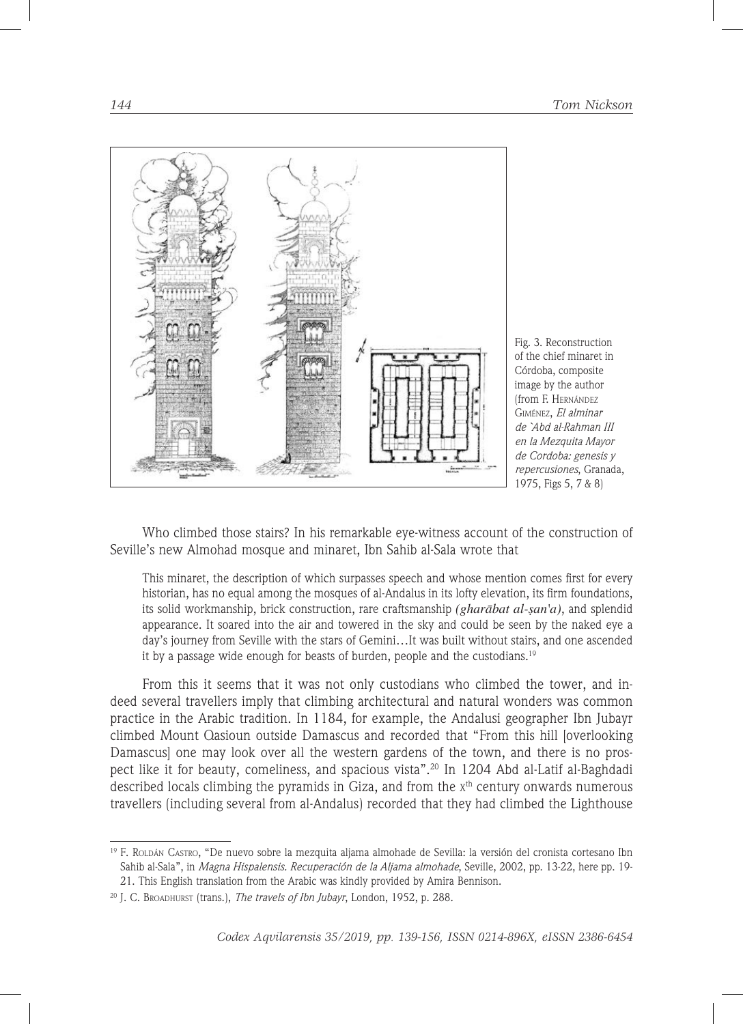

Fig. 3. Reconstruction of the chief minaret in Córdoba, composite image by the author (from F. Hernández Giménez, *El alminar de `Abd al-Rahman III en la Mezquita Mayor de Cordoba: genesis y repercusiones*, Granada, 1975, Figs 5, 7 & 8)

Who climbed those stairs? In his remarkable eye-witness account of the construction of Seville's new Almohad mosque and minaret, Ibn Sahib al-Sala wrote that

This minaret, the description of which surpasses speech and whose mention comes first for every historian, has no equal among the mosques of al-Andalus in its lofty elevation, its firm foundations, its solid workmanship, brick construction, rare craftsmanship *(gharābat al-ṣan'a)*, and splendid appearance. It soared into the air and towered in the sky and could be seen by the naked eye a day's journey from Seville with the stars of Gemini…It was built without stairs, and one ascended it by a passage wide enough for beasts of burden, people and the custodians.19

From this it seems that it was not only custodians who climbed the tower, and indeed several travellers imply that climbing architectural and natural wonders was common practice in the Arabic tradition. In 1184, for example, the Andalusi geographer Ibn Jubayr climbed Mount Qasioun outside Damascus and recorded that "From this hill [overlooking Damascus] one may look over all the western gardens of the town, and there is no prospect like it for beauty, comeliness, and spacious vista".20 In 1204 Abd al-Latif al-Baghdadi described locals climbing the pyramids in Giza, and from the  $x<sup>th</sup>$  century onwards numerous travellers (including several from al-Andalus) recorded that they had climbed the Lighthouse

<sup>19</sup> F. Roldán Castro, "De nuevo sobre la mezquita aljama almohade de Sevilla: la versión del cronista cortesano Ibn Sahib al-Sala", in *Magna Hispalensis. Recuperación de la Aljama almohade*, Seville, 2002, pp. 13-22, here pp. 19- 21. This English translation from the Arabic was kindly provided by Amira Bennison.

<sup>20</sup> J. C. Broadhurst (trans.), *The travels of Ibn Jubayr*, London, 1952, p. 288.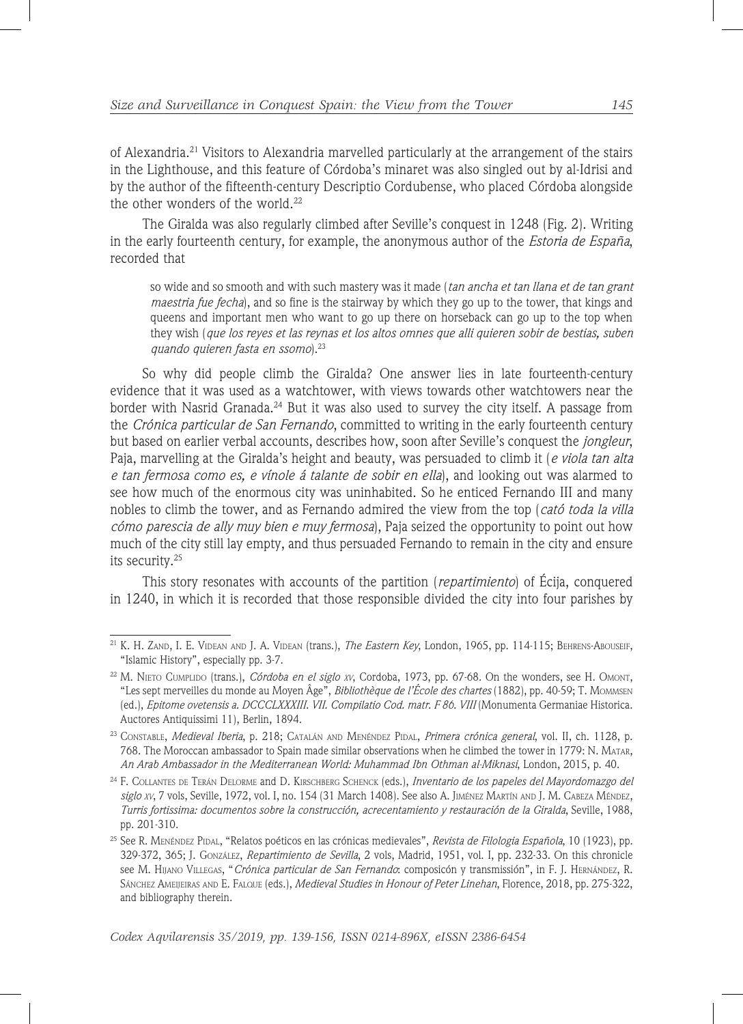of Alexandria.21 Visitors to Alexandria marvelled particularly at the arrangement of the stairs in the Lighthouse, and this feature of Córdoba's minaret was also singled out by al-Idrisi and by the author of the fifteenth-century Descriptio Cordubense, who placed Córdoba alongside the other wonders of the world.<sup>22</sup>

The Giralda was also regularly climbed after Seville's conquest in 1248 (Fig. 2). Writing in the early fourteenth century, for example, the anonymous author of the *Estoria de España*, recorded that

so wide and so smooth and with such mastery was it made (*tan ancha et tan llana et de tan grant maestria fue fecha*), and so fine is the stairway by which they go up to the tower, that kings and queens and important men who want to go up there on horseback can go up to the top when they wish (*que los reyes et las reynas et los altos omnes que alli quieren sobir de bestias, suben quando quieren fasta en ssomo*).23

So why did people climb the Giralda? One answer lies in late fourteenth-century evidence that it was used as a watchtower, with views towards other watchtowers near the border with Nasrid Granada.<sup>24</sup> But it was also used to survey the city itself. A passage from the *Crónica particular de San Fernando*, committed to writing in the early fourteenth century but based on earlier verbal accounts, describes how, soon after Seville's conquest the *jongleur*, Paja, marvelling at the Giralda's height and beauty, was persuaded to climb it (*e viola tan alta e tan fermosa como es, e vínole á talante de sobir en ella*), and looking out was alarmed to see how much of the enormous city was uninhabited. So he enticed Fernando III and many nobles to climb the tower, and as Fernando admired the view from the top (*cató toda la villa cómo parescia de ally muy bien e muy fermosa*), Paja seized the opportunity to point out how much of the city still lay empty, and thus persuaded Fernando to remain in the city and ensure its security.25

This story resonates with accounts of the partition (*repartimiento*) of Écija, conquered in 1240, in which it is recorded that those responsible divided the city into four parishes by

<sup>21</sup> K. H. Zand, I. E. Videan and J. A. Videan (trans.), *The Eastern Key*, London, 1965, pp. 114-115; Behrens-Abouseif, "Islamic History", especially pp. 3-7.

<sup>22</sup> M. Nieto Cumplido (trans.), *Córdoba en el siglo xv*, Cordoba, 1973, pp. 67-68. On the wonders, see H. Omont, "Les sept merveilles du monde au Moyen Âge", *Bibliothèque de l'École des chartes* (1882), pp. 40-59; T. Mommsen (ed.), *Epitome ovetensis a. DCCCLXXXIII. VII. Compilatio Cod. matr. F 86. VIII* (Monumenta Germaniae Historica. Auctores Antiquissimi 11), Berlin, 1894.

<sup>23</sup> Constable, *Medieval Iberia*, p. 218; Catalán and Menéndez Pidal, *Primera crónica general*, vol. II, ch. 1128, p. 768. The Moroccan ambassador to Spain made similar observations when he climbed the tower in 1779: N. Matar, *An Arab Ambassador in the Mediterranean World: Muhammad Ibn Othman al-Miknasi*, London, 2015, p. 40.

<sup>24</sup> F. Collantes de Terán Delorme and D. Kirschberg Schenck (eds.), *Inventario de los papeles del Mayordomazgo del siglo xv*, 7 vols, Seville, 1972, vol. I, no. 154 (31 March 1408). See also A. Jiménez Martín and J. M. Cabeza Méndez, *Turris fortissima: documentos sobre la construcción, acrecentamiento y restauración de la Giralda*, Seville, 1988, pp. 201-310.

<sup>25</sup> See R. Menéndez Pidal, "Relatos poéticos en las crónicas medievales", *Revista de Filologia Española*, 10 (1923), pp. 329-372, 365; J. González, *Repartimiento de Sevilla*, 2 vols, Madrid, 1951, vol. I, pp. 232-33. On this chronicle see M. Hijano Villegas, "*Crónica particular de San Fernando*: composicón y transmissión", in F. J. Hernández, R. Sánchez Ameijeiras and E. Falque (eds.), *Medieval Studies in Honour of Peter Linehan*, Florence, 2018, pp. 275-322, and bibliography therein.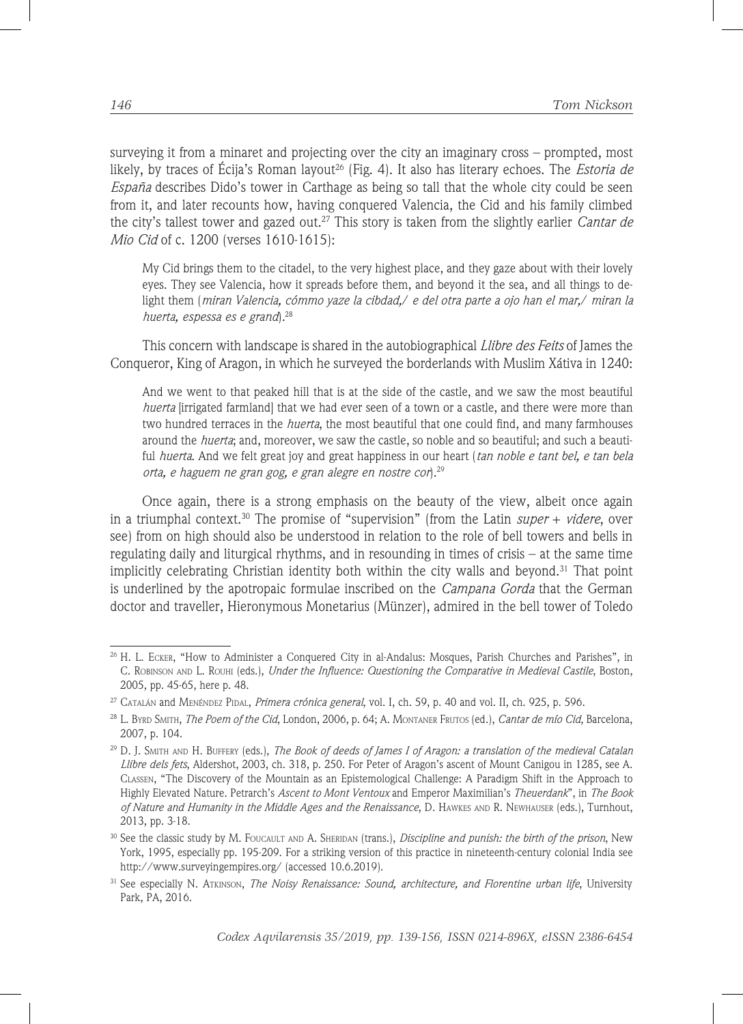surveying it from a minaret and projecting over the city an imaginary cross – prompted, most likely, by traces of Écija's Roman layout<sup>26</sup> (Fig. 4). It also has literary echoes. The *Estoria de España* describes Dido's tower in Carthage as being so tall that the whole city could be seen from it, and later recounts how, having conquered Valencia, the Cid and his family climbed the city's tallest tower and gazed out.27 This story is taken from the slightly earlier *Cantar de Mio Cid* of c. 1200 (verses 1610-1615):

My Cid brings them to the citadel, to the very highest place, and they gaze about with their lovely eyes. They see Valencia, how it spreads before them, and beyond it the sea, and all things to delight them (*miran Valencia, cómmo yaze la cibdad,*/ *e del otra parte a ojo han el mar,*/ *miran la huerta, espessa es e grand*)*.* 28

This concern with landscape is shared in the autobiographical *Llibre des Feits* of James the Conqueror, King of Aragon, in which he surveyed the borderlands with Muslim Xátiva in 1240:

And we went to that peaked hill that is at the side of the castle, and we saw the most beautiful *huerta* [irrigated farmland] that we had ever seen of a town or a castle, and there were more than two hundred terraces in the *huerta*, the most beautiful that one could find, and many farmhouses around the *huerta*; and, moreover, we saw the castle, so noble and so beautiful; and such a beautiful *huerta*. And we felt great joy and great happiness in our heart (*tan noble e tant bel, e tan bela orta, e haguem ne gran gog, e gran alegre en nostre cor*).29

Once again, there is a strong emphasis on the beauty of the view, albeit once again in a triumphal context.30 The promise of "supervision" (from the Latin *super* + *videre*, over see) from on high should also be understood in relation to the role of bell towers and bells in regulating daily and liturgical rhythms, and in resounding in times of crisis – at the same time implicitly celebrating Christian identity both within the city walls and beyond.31 That point is underlined by the apotropaic formulae inscribed on the *Campana Gorda* that the German doctor and traveller, Hieronymous Monetarius (Münzer), admired in the bell tower of Toledo

<sup>26</sup> H. L. Ecker, "How to Administer a Conquered City in al-Andalus: Mosques, Parish Churches and Parishes", in C. Robinson and L. Rouhi (eds.), *Under the Influence: Questioning the Comparative in Medieval Castile*, Boston, 2005, pp. 45-65, here p. 48.

<sup>27</sup> Catalán and Menéndez Pidal, *Primera crónica general*, vol. I, ch. 59, p. 40 and vol. II, ch. 925, p. 596.

<sup>28</sup> L. Byrd Smith, *The Poem of the Cid*, London, 2006, p. 64; A. Montaner Frutos (ed.), *Cantar de mío Cid*, Barcelona, 2007, p. 104.

<sup>29</sup> D. J. Smith and H. Buffery (eds.), *The Book of deeds of James I of Aragon: a translation of the medieval Catalan Llibre dels fets*, Aldershot, 2003, ch. 318, p. 250. For Peter of Aragon's ascent of Mount Canigou in 1285, see A. Classen, "The Discovery of the Mountain as an Epistemological Challenge: A Paradigm Shift in the Approach to Highly Elevated Nature. Petrarch's *Ascent to Mont Ventoux* and Emperor Maximilian's *Theuerdank*", in *The Book of Nature and Humanity in the Middle Ages and the Renaissance*, D. Hawkes and R. Newhauser (eds.), Turnhout, 2013, pp. 3-18.

<sup>30</sup> See the classic study by M. Foucault and A. Sheridan (trans.), *Discipline and punish: the birth of the prison*, New York, 1995, especially pp. 195-209. For a striking version of this practice in nineteenth-century colonial India see http://www.surveyingempires.org/ (accessed 10.6.2019).

<sup>31</sup> See especially N. Atkinson, *The Noisy Renaissance: Sound, architecture, and Florentine urban life*, University Park, PA, 2016.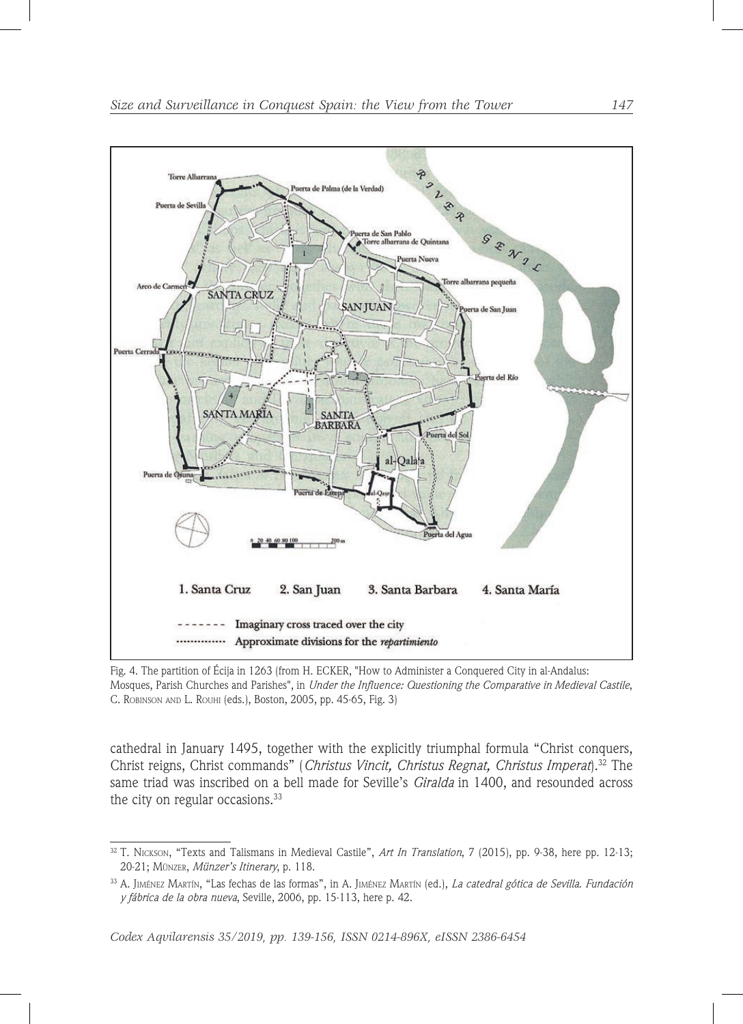

Fig. 4. The partition of Écija in 1263 (from H. ECKER, "How to Administer a Conquered City in al-Andalus: Mosques, Parish Churches and Parishes", in *Under the Influence: Questioning the Comparative in Medieval Castile*, C. Robinson and L. Rouhi (eds.), Boston, 2005, pp. 45-65, Fig. 3)

cathedral in January 1495, together with the explicitly triumphal formula "Christ conquers, Christ reigns, Christ commands" (*Christus Vincit, Christus Regnat, Christus Imperat*).32 The same triad was inscribed on a bell made for Seville's *Giralda* in 1400, and resounded across the city on regular occasions.<sup>33</sup>

<sup>32</sup> T. Nickson, "Texts and Talismans in Medieval Castile", *Art In Translation*, 7 (2015), pp. 9-38, here pp. 12-13; 20-21; Münzer, *Münzer's Itinerary*, p. 118.

<sup>33</sup> A. Jiménez Martín, "Las fechas de las formas", in A. Jiménez Martín (ed.), *La catedral gótica de Sevilla. Fundación y fábrica de la obra nueva*, Seville, 2006, pp. 15-113, here p. 42.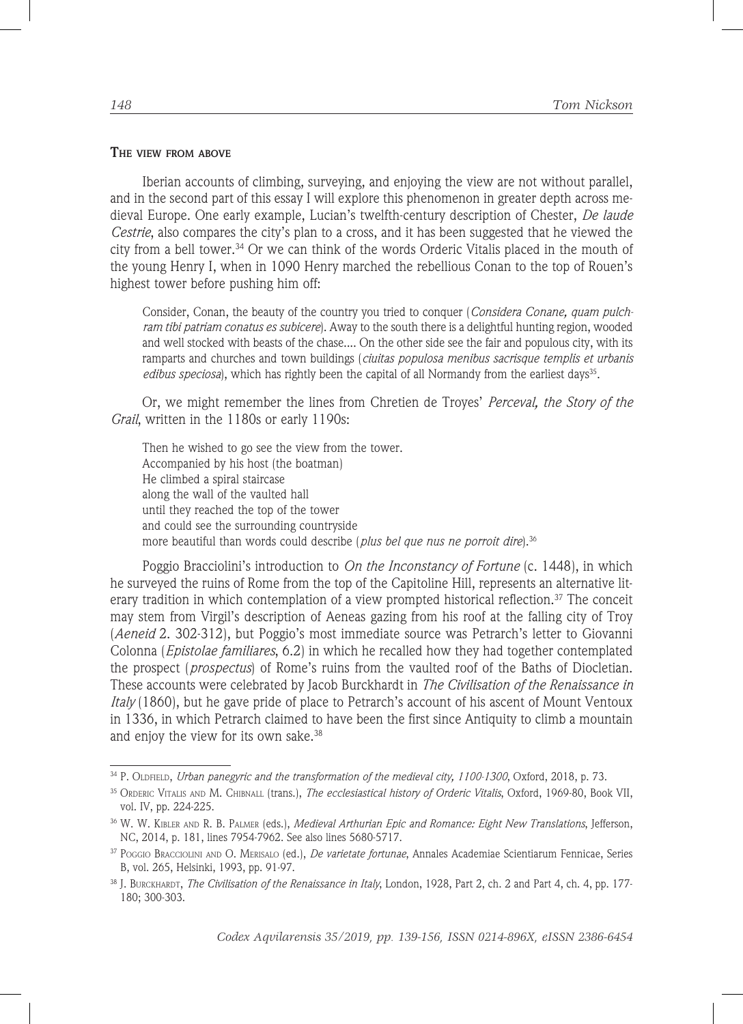#### **The view from above**

Iberian accounts of climbing, surveying, and enjoying the view are not without parallel, and in the second part of this essay I will explore this phenomenon in greater depth across medieval Europe. One early example, Lucian's twelfth-century description of Chester, *De laude Cestrie*, also compares the city's plan to a cross, and it has been suggested that he viewed the city from a bell tower.<sup>34</sup> Or we can think of the words Orderic Vitalis placed in the mouth of the young Henry I, when in 1090 Henry marched the rebellious Conan to the top of Rouen's highest tower before pushing him off:

Consider, Conan, the beauty of the country you tried to conquer (*Considera Conane, quam pulchram tibi patriam conatus es subicere*). Away to the south there is a delightful hunting region, wooded and well stocked with beasts of the chase.... On the other side see the fair and populous city, with its ramparts and churches and town buildings (*ciuitas populosa menibus sacrisque templis et urbanis edibus speciosa*), which has rightly been the capital of all Normandy from the earliest days<sup>35</sup>.

Or, we might remember the lines from Chretien de Troyes' *Perceval, the Story of the Grail*, written in the 1180s or early 1190s:

Then he wished to go see the view from the tower. Accompanied by his host (the boatman) He climbed a spiral staircase along the wall of the vaulted hall until they reached the top of the tower and could see the surrounding countryside more beautiful than words could describe (*plus bel que nus ne porroit dire*).36

Poggio Bracciolini's introduction to *On the Inconstancy of Fortune* (c. 1448), in which he surveyed the ruins of Rome from the top of the Capitoline Hill, represents an alternative literary tradition in which contemplation of a view prompted historical reflection.<sup>37</sup> The conceit may stem from Virgil's description of Aeneas gazing from his roof at the falling city of Troy (*Aeneid* 2. 302-312), but Poggio's most immediate source was Petrarch's letter to Giovanni Colonna (*Epistolae familiares*, 6.2) in which he recalled how they had together contemplated the prospect (*prospectus*) of Rome's ruins from the vaulted roof of the Baths of Diocletian. These accounts were celebrated by Jacob Burckhardt in *The Civilisation of the Renaissance in Italy* (1860), but he gave pride of place to Petrarch's account of his ascent of Mount Ventoux in 1336, in which Petrarch claimed to have been the first since Antiquity to climb a mountain and enjoy the view for its own sake.<sup>38</sup>

<sup>&</sup>lt;sup>34</sup> P. OLDFIELD, *Urban panegyric and the transformation of the medieval city, 1100-1300*, Oxford, 2018, p. 73.

<sup>35</sup> Orderic Vitalis and M. Chibnall (trans.), *The ecclesiastical history of Orderic Vitalis*, Oxford, 1969-80, Book VII, vol. IV, pp. 224-225.

<sup>36</sup> W. W. Kibler and R. B. Palmer (eds.), *Medieval Arthurian Epic and Romance: Eight New Translations*, Jefferson, NC, 2014, p. 181, lines 7954-7962. See also lines 5680-5717.

<sup>37</sup> Poggio Bracciolini and O. Merisalo (ed.), *De varietate fortunae*, Annales Academiae Scientiarum Fennicae, Series B, vol. 265, Helsinki, 1993, pp. 91-97.

<sup>&</sup>lt;sup>38</sup> J. Burckhardt, *The Civilisation of the Renaissance in Italy*, London, 1928, Part 2, ch. 2 and Part 4, ch. 4, pp. 177-180; 300-303.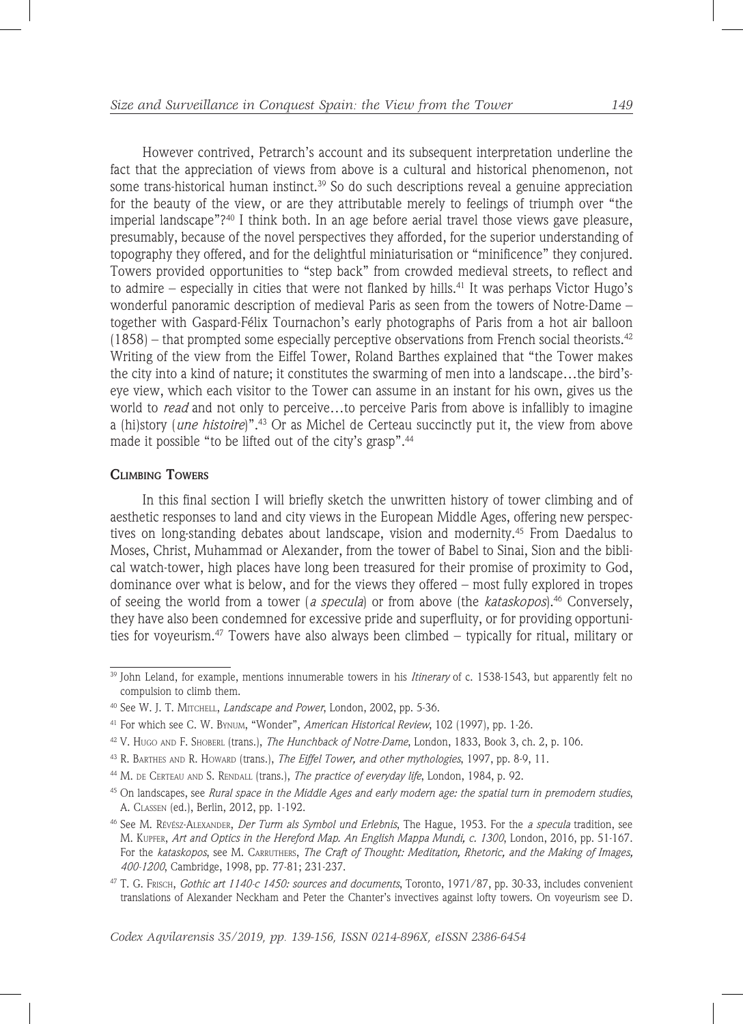However contrived, Petrarch's account and its subsequent interpretation underline the fact that the appreciation of views from above is a cultural and historical phenomenon, not some trans-historical human instinct.<sup>39</sup> So do such descriptions reveal a genuine appreciation for the beauty of the view, or are they attributable merely to feelings of triumph over "the imperial landscape"?40 I think both. In an age before aerial travel those views gave pleasure, presumably, because of the novel perspectives they afforded, for the superior understanding of topography they offered, and for the delightful miniaturisation or "minificence" they conjured. Towers provided opportunities to "step back" from crowded medieval streets, to reflect and to admire – especially in cities that were not flanked by hills.<sup>41</sup> It was perhaps Victor Hugo's wonderful panoramic description of medieval Paris as seen from the towers of Notre-Dame – together with Gaspard-Félix Tournachon's early photographs of Paris from a hot air balloon

 $(1858)$  – that prompted some especially perceptive observations from French social theorists.<sup>42</sup> Writing of the view from the Eiffel Tower, Roland Barthes explained that "the Tower makes the city into a kind of nature; it constitutes the swarming of men into a landscape…the bird'seye view, which each visitor to the Tower can assume in an instant for his own, gives us the world to *read* and not only to perceive…to perceive Paris from above is infallibly to imagine a (hi)story (*une histoire*)".43 Or as Michel de Certeau succinctly put it, the view from above made it possible "to be lifted out of the city's grasp".<sup>44</sup>

#### **Climbing Towers**

In this final section I will briefly sketch the unwritten history of tower climbing and of aesthetic responses to land and city views in the European Middle Ages, offering new perspectives on long-standing debates about landscape, vision and modernity.45 From Daedalus to Moses, Christ, Muhammad or Alexander, from the tower of Babel to Sinai, Sion and the biblical watch-tower, high places have long been treasured for their promise of proximity to God, dominance over what is below, and for the views they offered – most fully explored in tropes of seeing the world from a tower (*a specula*) or from above (the *kataskopos*).46 Conversely, they have also been condemned for excessive pride and superfluity, or for providing opportunities for voyeurism.47 Towers have also always been climbed – typically for ritual, military or

<sup>47</sup> T. G. Frisch, *Gothic art 1140-c 1450: sources and documents*, Toronto, 1971/87, pp. 30-33, includes convenient translations of Alexander Neckham and Peter the Chanter's invectives against lofty towers. On voyeurism see D.

<sup>39</sup> John Leland, for example, mentions innumerable towers in his *Itinerary* of c. 1538-1543, but apparently felt no compulsion to climb them.

<sup>40</sup> See W. J. T. Mitchell, *Landscape and Power*, London, 2002, pp. 5-36.

<sup>41</sup> For which see C. W. Bynum, "Wonder", *American Historical Review*, 102 (1997), pp. 1-26.

<sup>42</sup> V. Hugo and F. Shoberl (trans.), *The Hunchback of Notre-Dame*, London, 1833, Book 3, ch. 2, p. 106.

<sup>43</sup> R. Barthes and R. Howard (trans.), *The Eiffel Tower, and other mythologies*, 1997, pp. 8-9, 11.

<sup>44</sup> M. de Certeau and S. Rendall (trans.), *The practice of everyday life*, London, 1984, p. 92.

<sup>45</sup> On landscapes, see *Rural space in the Middle Ages and early modern age: the spatial turn in premodern studies*, A. Classen (ed.), Berlin, 2012, pp. 1-192.

<sup>46</sup> See M. Révész-Alexander, *Der Turm als Symbol und Erlebnis*, The Hague, 1953. For the *a specula* tradition, see M. Kupfer, *Art and Optics in the Hereford Map. An English Mappa Mundi, c. 1300*, London, 2016, pp. 51-167. For the *kataskopos*, see M. CARRUTHERS, *The Craft of Thought: Meditation, Rhetoric, and the Making of Images*, *400-1200*, Cambridge, 1998, pp. 77-81; 231-237.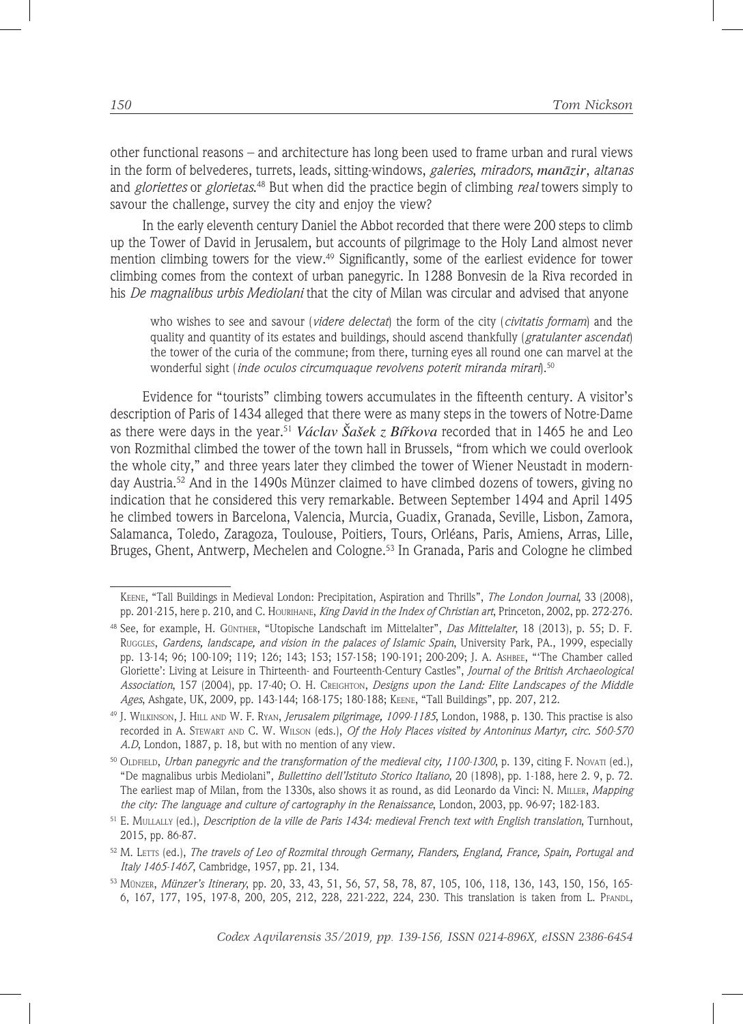other functional reasons – and architecture has long been used to frame urban and rural views in the form of belvederes, turrets, leads, sitting-windows, *galeries*, *miradors*, *manāzir*, *altanas* and *gloriettes* or *glorietas*. 48 But when did the practice begin of climbing *real* towers simply to savour the challenge, survey the city and enjoy the view?

In the early eleventh century Daniel the Abbot recorded that there were 200 steps to climb up the Tower of David in Jerusalem, but accounts of pilgrimage to the Holy Land almost never mention climbing towers for the view.<sup>49</sup> Significantly, some of the earliest evidence for tower climbing comes from the context of urban panegyric. In 1288 Bonvesin de la Riva recorded in his *De magnalibus urbis Mediolani* that the city of Milan was circular and advised that anyone

who wishes to see and savour (*videre delectat*) the form of the city (*civitatis formam*) and the quality and quantity of its estates and buildings, should ascend thankfully (*gratulanter ascendat*) the tower of the curia of the commune; from there, turning eyes all round one can marvel at the wonderful sight (*inde oculos circumquaque revolvens poterit miranda mirari*).50

Evidence for "tourists" climbing towers accumulates in the fifteenth century. A visitor's description of Paris of 1434 alleged that there were as many steps in the towers of Notre-Dame as there were days in the year.51 *Václav Šašek z Bířkova* recorded that in 1465 he and Leo von Rozmithal climbed the tower of the town hall in Brussels, "from which we could overlook the whole city," and three years later they climbed the tower of Wiener Neustadt in modernday Austria.52 And in the 1490s Münzer claimed to have climbed dozens of towers, giving no indication that he considered this very remarkable. Between September 1494 and April 1495 he climbed towers in Barcelona, Valencia, Murcia, Guadix, Granada, Seville, Lisbon, Zamora, Salamanca, Toledo, Zaragoza, Toulouse, Poitiers, Tours, Orléans, Paris, Amiens, Arras, Lille, Bruges, Ghent, Antwerp, Mechelen and Cologne.53 In Granada, Paris and Cologne he climbed

Keene, "Tall Buildings in Medieval London: Precipitation, Aspiration and Thrills", *The London Journal*, 33 (2008), pp. 201-215, here p. 210, and C. Hourihane, *King David in the Index of Christian art*, Princeton, 2002, pp. 272-276.

<sup>48</sup> See, for example, H. Günther, "Utopische Landschaft im Mittelalter", *Das Mittelalter*, 18 (2013), p. 55; D. F. Ruggles, *Gardens, landscape, and vision in the palaces of Islamic Spain*, University Park, PA., 1999, especially pp. 13-14; 96; 100-109; 119; 126; 143; 153; 157-158; 190-191; 200-209; J. A. Ashbee, "'The Chamber called Gloriette': Living at Leisure in Thirteenth- and Fourteenth-Century Castles", *Journal of the British Archaeological Association*, 157 (2004), pp. 17-40; O. H. Creighton, *Designs upon the Land: Elite Landscapes of the Middle Ages*, Ashgate, UK, 2009, pp. 143-144; 168-175; 180-188; Keene, "Tall Buildings", pp. 207, 212.

<sup>49</sup> J. Wilkinson, J. Hill and W. F. Ryan, *Jerusalem pilgrimage, 1099-1185*, London, 1988, p. 130. This practise is also recorded in A. Stewart and C. W. Wilson (eds.), *Of the Holy Places visited by Antoninus Martyr, circ. 560-570 A.D*, London, 1887, p. 18, but with no mention of any view.

<sup>&</sup>lt;sup>50</sup> OLDFIELD, *Urban panegyric and the transformation of the medieval city, 1100-1300*, p. 139, citing F. Novati (ed.), "De magnalibus urbis Mediolani", *Bullettino dell'Istituto Storico Italiano*, 20 (1898), pp. 1-188, here 2. 9, p. 72. The earliest map of Milan, from the 1330s, also shows it as round, as did Leonardo da Vinci: N. Miller, *Mapping the city: The language and culture of cartography in the Renaissance*, London, 2003, pp. 96-97; 182-183.

<sup>51</sup> E. Mullally (ed.), *Description de la ville de Paris 1434: medieval French text with English translation*, Turnhout, 2015, pp. 86-87.

<sup>52</sup> M. Letts (ed.), *The travels of Leo of Rozmital through Germany, Flanders, England, France, Spain, Portugal and Italy 1465-1467*, Cambridge, 1957, pp. 21, 134.

<sup>53</sup> Münzer, *Münzer's Itinerary*, pp. 20, 33, 43, 51, 56, 57, 58, 78, 87, 105, 106, 118, 136, 143, 150, 156, 165- 6, 167, 177, 195, 197-8, 200, 205, 212, 228, 221-222, 224, 230. This translation is taken from L. Pfandl,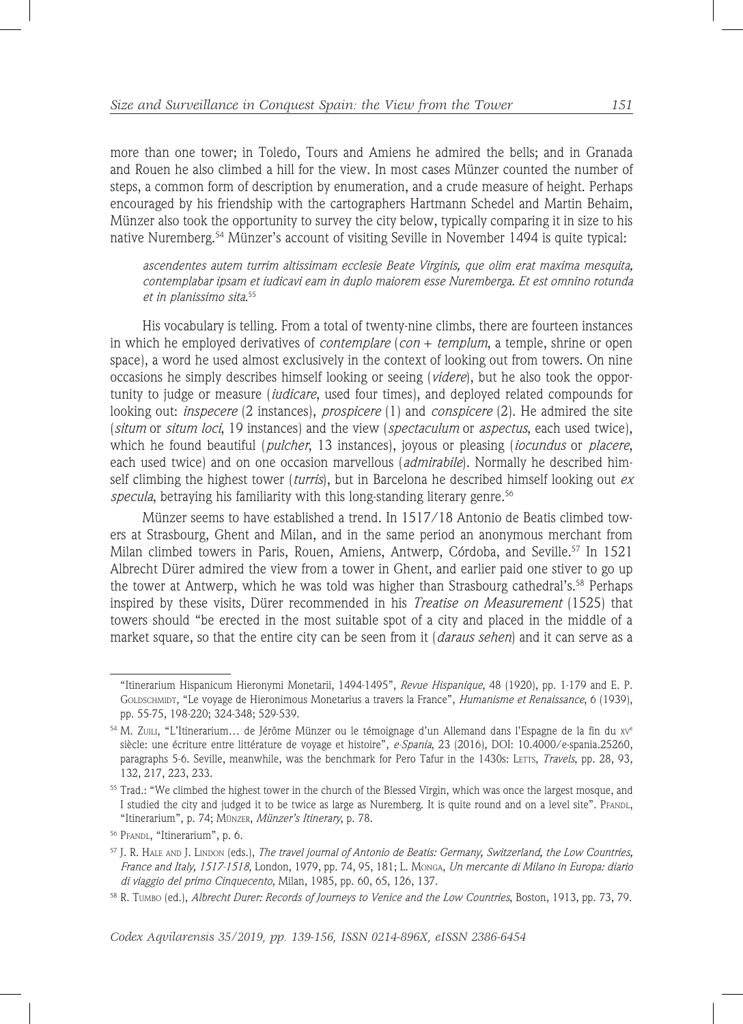more than one tower; in Toledo, Tours and Amiens he admired the bells; and in Granada and Rouen he also climbed a hill for the view. In most cases Münzer counted the number of steps, a common form of description by enumeration, and a crude measure of height. Perhaps encouraged by his friendship with the cartographers Hartmann Schedel and Martin Behaim, Münzer also took the opportunity to survey the city below, typically comparing it in size to his native Nuremberg.54 Münzer's account of visiting Seville in November 1494 is quite typical:

*ascendentes autem turrim altissimam ecclesie Beate Virginis, que olim erat maxima mesquita, contemplabar ipsam et iudicavi eam in duplo maiorem esse Nuremberga. Et est omnino rotunda et in planissimo sita*. 55

His vocabulary is telling. From a total of twenty-nine climbs, there are fourteen instances in which he employed derivatives of *contemplare* (*con* + *templum*, a temple, shrine or open space), a word he used almost exclusively in the context of looking out from towers. On nine occasions he simply describes himself looking or seeing (*videre*), but he also took the opportunity to judge or measure (*iudicare*, used four times), and deployed related compounds for looking out: *inspecere* (2 instances), *prospicere* (1) and *conspicere* (2). He admired the site (*situm* or *situm loci*, 19 instances) and the view (*spectaculum* or *aspectus*, each used twice), which he found beautiful (*pulcher*, 13 instances), joyous or pleasing (*iocundus* or *placere*, each used twice) and on one occasion marvellous (*admirabile*). Normally he described himself climbing the highest tower (*turris*), but in Barcelona he described himself looking out *ex specula*, betraying his familiarity with this long-standing literary genre.<sup>56</sup>

Münzer seems to have established a trend. In 1517/18 Antonio de Beatis climbed towers at Strasbourg, Ghent and Milan, and in the same period an anonymous merchant from Milan climbed towers in Paris, Rouen, Amiens, Antwerp, Córdoba, and Seville.<sup>57</sup> In 1521 Albrecht Dürer admired the view from a tower in Ghent, and earlier paid one stiver to go up the tower at Antwerp, which he was told was higher than Strasbourg cathedral's.58 Perhaps inspired by these visits, Dürer recommended in his *Treatise on Measurement* (1525) that towers should "be erected in the most suitable spot of a city and placed in the middle of a market square, so that the entire city can be seen from it (*daraus sehen*) and it can serve as a

<sup>&</sup>quot;Itinerarium Hispanicum Hieronymi Monetarii, 1494-1495", *Revue Hispanique*, 48 (1920), pp. 1-179 and E. P. GOLDSCHMIDT, "Le voyage de Hieronimous Monetarius a travers la France", *Humanisme et Renaissance*, 6 (1939), pp. 55-75, 198-220; 324-348; 529-539.

<sup>54</sup> M. Zuili, "L'Itinerarium… de Jérôme Münzer ou le témoignage d'un Allemand dans l'Espagne de la fin du xv<sup>e</sup> siècle: une écriture entre littérature de voyage et histoire", *e-Spania*, 23 (2016), DOI: 10.4000/e-spania.25260, paragraphs 5-6. Seville, meanwhile, was the benchmark for Pero Tafur in the 1430s: Lerrs, *Travels*, pp. 28, 93, 132, 217, 223, 233.

<sup>55</sup> Trad.: "We climbed the highest tower in the church of the Blessed Virgin, which was once the largest mosque, and I studied the city and judged it to be twice as large as Nuremberg. It is quite round and on a level site". PFANDL, "Itinerarium", p. 74; Münzer, *Münzer's Itinerary*, p. 78.

<sup>&</sup>lt;sup>56</sup> PFANDL, "Itinerarium", p. 6.

<sup>57</sup> J. R. Hale and J. Lindon (eds.), *The travel journal of Antonio de Beatis: Germany, Switzerland, the Low Countries, France and Italy, 1517-1518*, London, 1979, pp. 74, 95, 181; L. Monga, *Un mercante di Milano in Europa: diario di viaggio del primo Cinquecento*, Milan, 1985, pp. 60, 65, 126, 137.

<sup>58</sup> R. Tumbo (ed.), *Albrecht Durer: Records of Journeys to Venice and the Low Countries*, Boston, 1913, pp. 73, 79.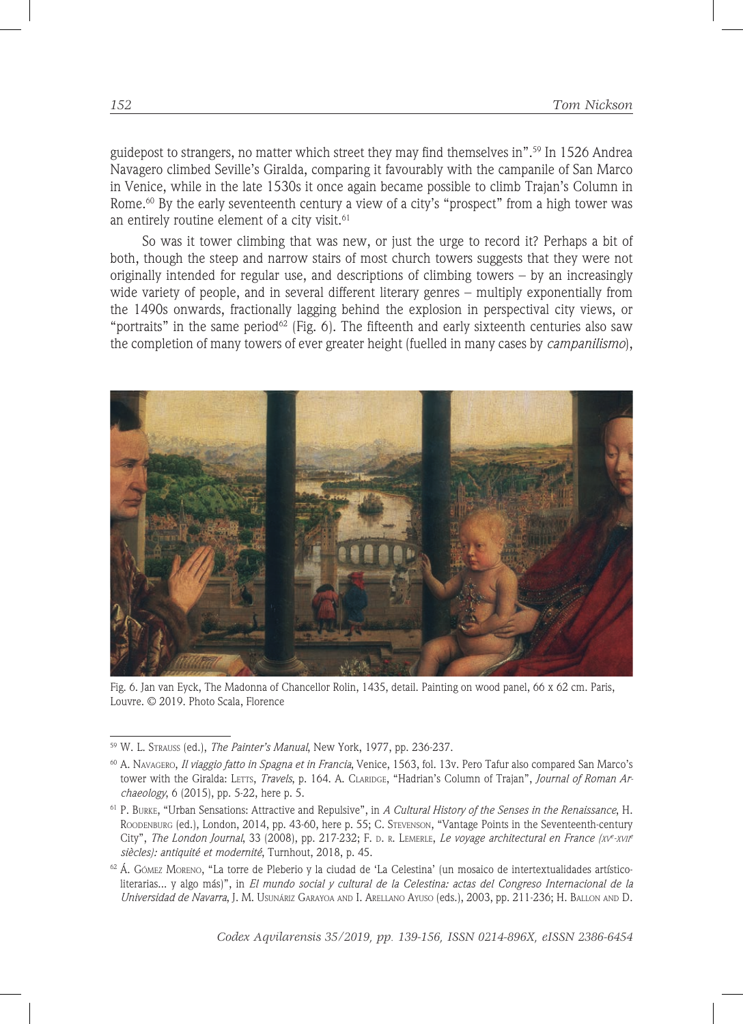guidepost to strangers, no matter which street they may find themselves in".<sup>59</sup> In 1526 Andrea Navagero climbed Seville's Giralda, comparing it favourably with the campanile of San Marco in Venice, while in the late 1530s it once again became possible to climb Trajan's Column in Rome.<sup>60</sup> By the early seventeenth century a view of a city's "prospect" from a high tower was an entirely routine element of a city visit.<sup>61</sup>

So was it tower climbing that was new, or just the urge to record it? Perhaps a bit of both, though the steep and narrow stairs of most church towers suggests that they were not originally intended for regular use, and descriptions of climbing towers  $-$  by an increasingly wide variety of people, and in several different literary genres – multiply exponentially from the 1490s onwards, fractionally lagging behind the explosion in perspectival city views, or "portraits" in the same period<sup>62</sup> (Fig. 6). The fifteenth and early sixteenth centuries also saw the completion of many towers of ever greater height (fuelled in many cases by *campanilismo*),



Fig. 6. Jan van Eyck, The Madonna of Chancellor Rolin, 1435, detail. Painting on wood panel, 66 x 62 cm. Paris, Louvre. © 2019. Photo Scala, Florence

<sup>59</sup> W. L. Strauss (ed.), *The Painter's Manual*, New York, 1977, pp. 236-237.

<sup>60</sup> A. Navagero, *Il viaggio fatto in Spagna et in Francia*, Venice, 1563, fol. 13v. Pero Tafur also compared San Marco's tower with the Giralda: LETTS, *Travels*, p. 164. A. CLARIDGE, "Hadrian's Column of Trajan", *Journal of Roman Archaeology*, 6 (2015), pp. 5-22, here p. 5.

<sup>61</sup> P. Burke, "Urban Sensations: Attractive and Repulsive", in *A Cultural History of the Senses in the Renaissance*, H. ROODENBURG (ed.), London, 2014, pp. 43-60, here p. 55; C. STEVENSON, "Vantage Points in the Seventeenth-century City", *The London Journal*, 33 (2008), pp. 217-232; F. D. R. LEMERLE, *Le voyage architectural en France (xv<sup>e</sup>-xvii siècles): antiquité et modernité*, Turnhout, 2018, p. 45.

 $62$  Á. Gómez Moreno, "La torre de Pleberio y la ciudad de 'La Celestina' (un mosaico de intertextualidades artísticoliterarias... y algo más)", in *El mundo social y cultural de la Celestina: actas del Congreso Internacional de la Universidad de Navarra*, J. M. Usunáriz Garayoa and I. Arellano Ayuso (eds.), 2003, pp. 211-236; H. Ballon and D.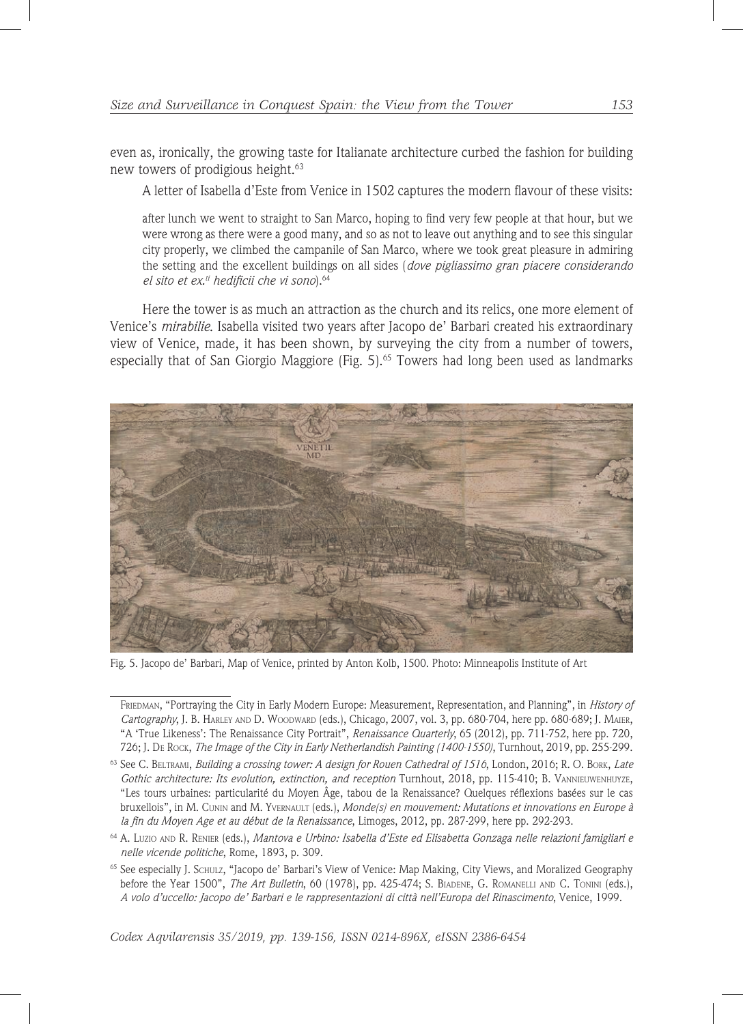even as, ironically, the growing taste for Italianate architecture curbed the fashion for building new towers of prodigious height.<sup>63</sup>

A letter of Isabella d'Este from Venice in 1502 captures the modern flavour of these visits:

after lunch we went to straight to San Marco, hoping to find very few people at that hour, but we were wrong as there were a good many, and so as not to leave out anything and to see this singular city properly, we climbed the campanile of San Marco, where we took great pleasure in admiring the setting and the excellent buildings on all sides (*dove pigliassimo gran piacere considerando el sito et ex.ti hedificii che vi sono*).64

Here the tower is as much an attraction as the church and its relics, one more element of Venice's *mirabilie*. Isabella visited two years after Jacopo de' Barbari created his extraordinary view of Venice, made, it has been shown, by surveying the city from a number of towers, especially that of San Giorgio Maggiore (Fig. 5).<sup>65</sup> Towers had long been used as landmarks



Fig. 5. Jacopo de' Barbari, Map of Venice, printed by Anton Kolb, 1500. Photo: Minneapolis Institute of Art

- <sup>64</sup> A. Luzio and R. Renier (eds.), *Mantova e Urbino: Isabella d'Este ed Elisabetta Gonzaga nelle relazioni famigliari e nelle vicende politiche*, Rome, 1893, p. 309.
- <sup>65</sup> See especially J. Schulz, "Jacopo de' Barbari's View of Venice: Map Making, City Views, and Moralized Geography before the Year 1500", *The Art Bulletin*, 60 (1978), pp. 425-474; S. Biadene, G. Romanelli and C. Tonini (eds.), *A volo d'uccello: Jacopo de' Barbari e le rappresentazioni di città nell'Europa del Rinascimento*, Venice, 1999.

Friedman, "Portraying the City in Early Modern Europe: Measurement, Representation, and Planning", in *History of Cartography*, J. B. Harley and D. Woodward (eds.), Chicago, 2007, vol. 3, pp. 680-704, here pp. 680-689; J. Maier, "A 'True Likeness': The Renaissance City Portrait", *Renaissance Quarterly*, 65 (2012), pp. 711-752, here pp. 720, 726; J. De Rock, *The Image of the City in Early Netherlandish Painting (1400-1550)*, Turnhout, 2019, pp. 255-299.

<sup>63</sup> See C. Beltrami, *Building a crossing tower: A design for Rouen Cathedral of 1516*, London, 2016; R. O. Bork, *Late Gothic architecture: Its evolution, extinction, and reception* Turnhout, 2018, pp. 115-410; B. Vannieuwenhuyze, "Les tours urbaines: particularité du Moyen Âge, tabou de la Renaissance? Quelques réflexions basées sur le cas bruxellois", in M. Cunin and M. Yvernault (eds.), *Monde(s) en mouvement: Mutations et innovations en Europe à la fin du Moyen Age et au début de la Renaissance*, Limoges, 2012, pp. 287-299, here pp. 292-293.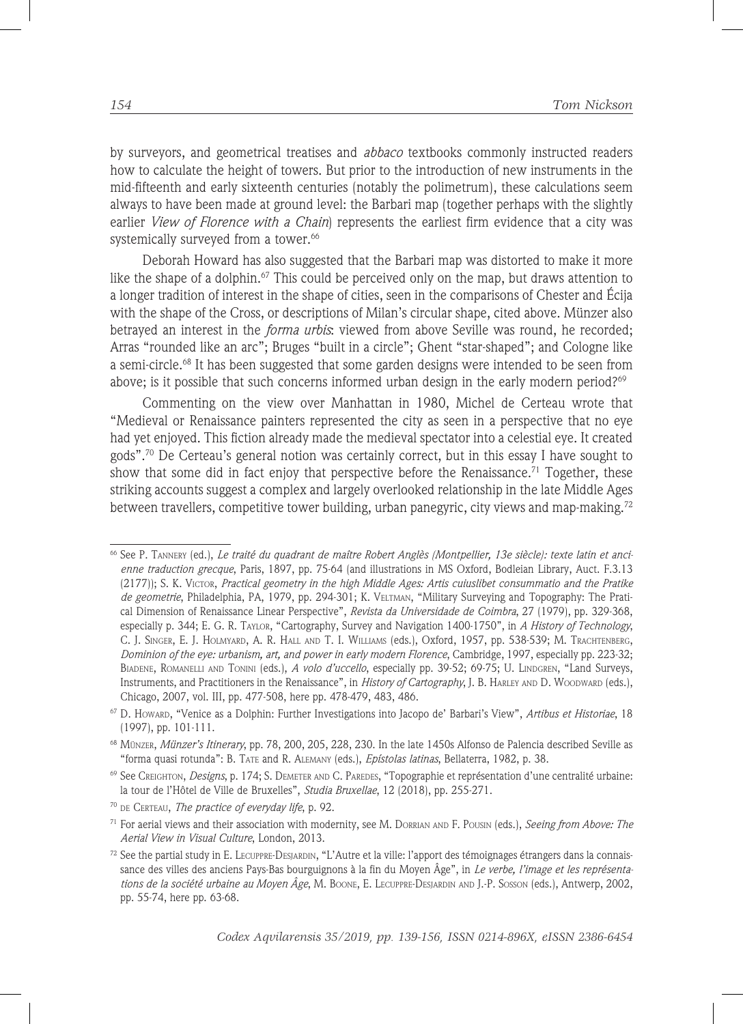by surveyors, and geometrical treatises and *abbaco* textbooks commonly instructed readers how to calculate the height of towers. But prior to the introduction of new instruments in the mid-fifteenth and early sixteenth centuries (notably the polimetrum), these calculations seem always to have been made at ground level: the Barbari map (together perhaps with the slightly earlier *View of Florence with a Chain*) represents the earliest firm evidence that a city was systemically surveyed from a tower.<sup>66</sup>

Deborah Howard has also suggested that the Barbari map was distorted to make it more like the shape of a dolphin.<sup>67</sup> This could be perceived only on the map, but draws attention to a longer tradition of interest in the shape of cities, seen in the comparisons of Chester and Écija with the shape of the Cross, or descriptions of Milan's circular shape, cited above. Münzer also betrayed an interest in the *forma urbis*: viewed from above Seville was round, he recorded; Arras "rounded like an arc"; Bruges "built in a circle"; Ghent "star-shaped"; and Cologne like a semi-circle.68 It has been suggested that some garden designs were intended to be seen from above; is it possible that such concerns informed urban design in the early modern period?<sup>69</sup>

Commenting on the view over Manhattan in 1980, Michel de Certeau wrote that "Medieval or Renaissance painters represented the city as seen in a perspective that no eye had yet enjoyed. This fiction already made the medieval spectator into a celestial eye. It created gods".70 De Certeau's general notion was certainly correct, but in this essay I have sought to show that some did in fact enjoy that perspective before the Renaissance.<sup>71</sup> Together, these striking accounts suggest a complex and largely overlooked relationship in the late Middle Ages between travellers, competitive tower building, urban panegyric, city views and map-making.<sup>72</sup>

<sup>66</sup> See P. Tannery (ed.), *Le traité du quadrant de maître Robert Anglès (Montpellier, 13e siècle): texte latin et ancienne traduction grecque*, Paris, 1897, pp. 75-64 (and illustrations in MS Oxford, Bodleian Library, Auct. F.3.13 (2177)); S. K. Victor, *Practical geometry in the high Middle Ages: Artis cuiuslibet consummatio and the Pratike de geometrie*, Philadelphia, PA, 1979, pp. 294-301; K. Veltman, "Military Surveying and Topography: The Pratical Dimension of Renaissance Linear Perspective", *Revista da Universidade de Coimbra*, 27 (1979), pp. 329-368, especially p. 344; E. G. R. Taylor, "Cartography, Survey and Navigation 1400-1750", in *A History of Technology*, C. J. Singer, E. J. Holmyard, A. R. Hall and T. I. Williams (eds.), Oxford, 1957, pp. 538-539; M. Trachtenberg, *Dominion of the eye: urbanism, art, and power in early modern Florence*, Cambridge, 1997, especially pp. 223-32; Biadene, Romanelli and Tonini (eds.), *A volo d'uccello*, especially pp. 39-52; 69-75; U. Lindgren, "Land Surveys, Instruments, and Practitioners in the Renaissance", in *History of Cartography*, J. B. HARLEY AND D. WOODWARD (eds.), Chicago, 2007, vol. III, pp. 477-508, here pp. 478-479, 483, 486.

<sup>67</sup> D. Howard, "Venice as a Dolphin: Further Investigations into Jacopo de' Barbari's View", *Artibus et Historiae*, 18 (1997), pp. 101-111.

<sup>68</sup> Münzer, *Münzer's Itinerary*, pp. 78, 200, 205, 228, 230. In the late 1450s Alfonso de Palencia described Seville as "forma quasi rotunda": B. Tate and R. Alemany (eds.), *Epístolas latinas*, Bellaterra, 1982, p. 38.

<sup>&</sup>lt;sup>69</sup> See CREIGHTON, *Designs*, p. 174; S. DEMETER AND C. PAREDES, "Topographie et représentation d'une centralité urbaine: la tour de l'Hôtel de Ville de Bruxelles", *Studia Bruxellae*, 12 (2018), pp. 255-271.

<sup>70</sup> de Certeau, *The practice of everyday life*, p. 92.

<sup>71</sup> For aerial views and their association with modernity, see M. Dorrian and F. Pousin (eds.), *Seeing from Above: The Aerial View in Visual Culture*, London, 2013.

 $72$  See the partial study in E. LECUPPRE-DESIARDIN, "L'Autre et la ville: l'apport des témoignages étrangers dans la connaissance des villes des anciens Pays-Bas bourguignons à la fin du Moyen Âge", in *Le verbe, l'image et les représentations de la société urbaine au Moyen Âge*, M. Boone, E. Lecuppre-Desjardin and J.-P. Sosson (eds.), Antwerp, 2002, pp. 55-74, here pp. 63-68.